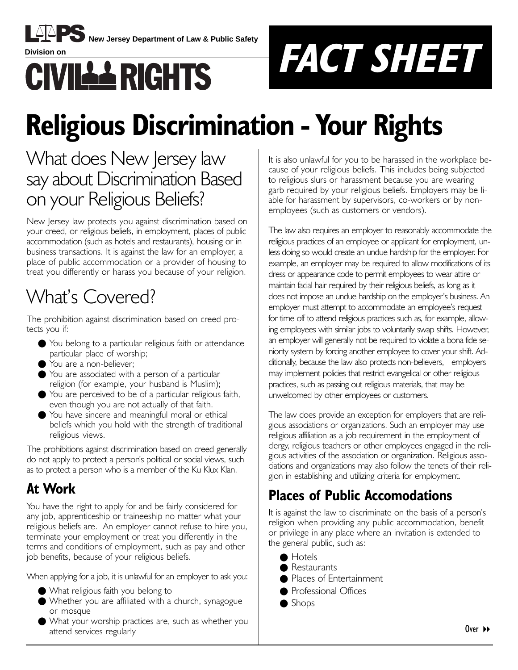

**New Jersey Department of Law & Public Safety** 



# **Religious Discrimination - Your Rights**

# What does New Jersey law say about Discrimination Based on your Religious Beliefs?

New Jersey law protects you against discrimination based on your creed, or religious beliefs, in employment, places of public accommodation (such as hotels and restaurants), housing or in business transactions. It is against the law for an employer, a place of public accommodation or a provider of housing to treat you differently or harass you because of your religion.

# What's Covered?

The prohibition against discrimination based on creed protects you if:

- You belong to a particular religious faith or attendance particular place of worship;
- You are a non-believer;
- You are associated with a person of a particular religion (for example, your husband is Muslim);
- You are perceived to be of a particular religious faith, even though you are not actually of that faith.
- You have sincere and meaningful moral or ethical beliefs which you hold with the strength of traditional religious views.

The prohibitions against discrimination based on creed generally do not apply to protect a personís political or social views, such as to protect a person who is a member of the Ku Klux Klan.

## **At Work**

You have the right to apply for and be fairly considered for any job, apprenticeship or traineeship no matter what your religious beliefs are. An employer cannot refuse to hire you, terminate your employment or treat you differently in the terms and conditions of employment, such as pay and other job benefits, because of your religious beliefs.

When applying for a job, it is unlawful for an employer to ask you:

- What religious faith you belong to
- Whether you are affiliated with a church, synagogue or mosque
- What your worship practices are, such as whether you attend services regularly

It is also unlawful for you to be harassed in the workplace because of your religious beliefs. This includes being subjected to religious slurs or harassment because you are wearing garb required by your religious beliefs. Employers may be liable for harassment by supervisors, co-workers or by nonemployees (such as customers or vendors).

The law also requires an employer to reasonably accommodate the religious practices of an employee or applicant for employment, unless doing so would create an undue hardship for the employer. For example, an employer may be required to allow modifications of its dress or appearance code to permit employees to wear attire or maintain facial hair required by their religious beliefs, as long as it does not impose an undue hardship on the employer's business. An employer must attempt to accommodate an employee's request for time off to attend religious practices such as, for example, allowing employees with similar jobs to voluntarily swap shifts. However, an employer will generally not be required to violate a bona fide seniority system by forcing another employee to cover your shift. Additionally, because the law also protects non-believers, employers may implement policies that restrict evangelical or other religious practices, such as passing out religious materials, that may be unwelcomed by other employees or customers.

The law does provide an exception for employers that are religious associations or organizations. Such an employer may use religious affiliation as a job requirement in the employment of clergy, religious teachers or other employees engaged in the religious activities of the association or organization. Religious associations and organizations may also follow the tenets of their religion in establishing and utilizing criteria for employment.

### **Places of Public Accomodations**

It is against the law to discriminate on the basis of a person's religion when providing any public accommodation, benefit or privilege in any place where an invitation is extended to the general public, such as:

- Hotels
- Restaurants
- Places of Entertainment
- Professional Offices
- Shops